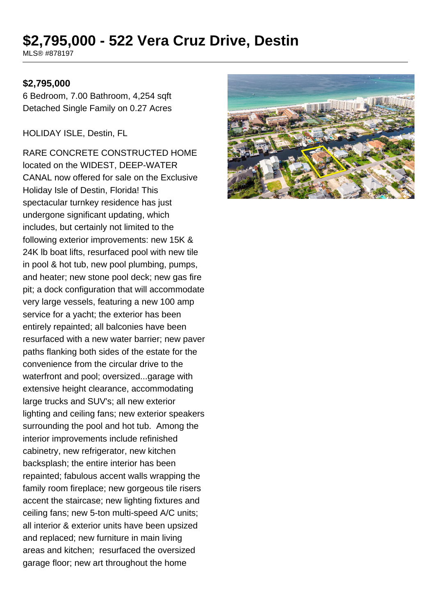# **\$2,795,000 - 522 Vera Cruz Drive, Destin**

MLS® #878197

#### **\$2,795,000**

6 Bedroom, 7.00 Bathroom, 4,254 sqft Detached Single Family on 0.27 Acres

HOLIDAY ISLE, Destin, FL

RARE CONCRETE CONSTRUCTED HOME located on the WIDEST, DEEP-WATER CANAL now offered for sale on the Exclusive Holiday Isle of Destin, Florida! This spectacular turnkey residence has just undergone significant updating, which includes, but certainly not limited to the following exterior improvements: new 15K & 24K lb boat lifts, resurfaced pool with new tile in pool & hot tub, new pool plumbing, pumps, and heater; new stone pool deck; new gas fire pit; a dock configuration that will accommodate very large vessels, featuring a new 100 amp service for a yacht; the exterior has been entirely repainted; all balconies have been resurfaced with a new water barrier; new paver paths flanking both sides of the estate for the convenience from the circular drive to the waterfront and pool; oversized...garage with extensive height clearance, accommodating large trucks and SUV's; all new exterior lighting and ceiling fans; new exterior speakers surrounding the pool and hot tub. Among the interior improvements include refinished cabinetry, new refrigerator, new kitchen backsplash; the entire interior has been repainted; fabulous accent walls wrapping the family room fireplace; new gorgeous tile risers accent the staircase; new lighting fixtures and ceiling fans; new 5-ton multi-speed A/C units; all interior & exterior units have been upsized and replaced; new furniture in main living areas and kitchen; resurfaced the oversized garage floor; new art throughout the home

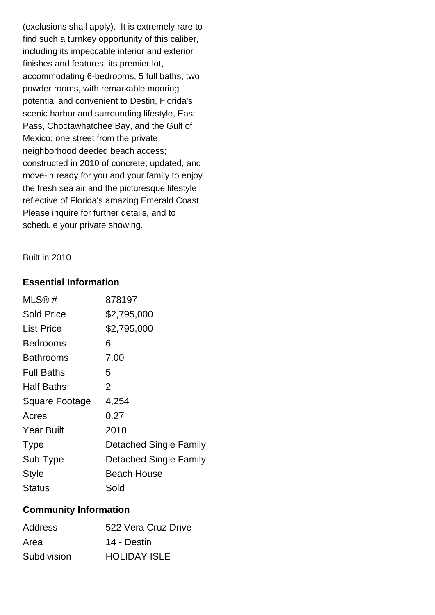(exclusions shall apply). It is extremely rare to find such a turnkey opportunity of this caliber, including its impeccable interior and exterior finishes and features, its premier lot, accommodating 6-bedrooms, 5 full baths, two powder rooms, with remarkable mooring potential and convenient to Destin, Florida's scenic harbor and surrounding lifestyle, East Pass, Choctawhatchee Bay, and the Gulf of Mexico; one street from the private neighborhood deeded beach access; constructed in 2010 of concrete; updated, and move-in ready for you and your family to enjoy the fresh sea air and the picturesque lifestyle reflective of Florida's amazing Emerald Coast! Please inquire for further details, and to schedule your private showing.

Built in 2010

# **Essential Information**

| MLS®#                 | 878197                 |
|-----------------------|------------------------|
| Sold Price            | \$2,795,000            |
| List Price            | \$2,795,000            |
| <b>Bedrooms</b>       | 6                      |
| Bathrooms             | 7.00                   |
| <b>Full Baths</b>     | 5                      |
| <b>Half Baths</b>     | $\overline{2}$         |
| <b>Square Footage</b> | 4,254                  |
| Acres                 | 0.27                   |
| <b>Year Built</b>     | 2010                   |
| <b>Type</b>           | Detached Single Family |
| Sub-Type              | Detached Single Family |
| <b>Style</b>          | Beach House            |
| Status                | Sold                   |

# **Community Information**

| <b>Address</b> | 522 Vera Cruz Drive |
|----------------|---------------------|
| Area           | 14 - Destin         |
| Subdivision    | <b>HOLIDAY ISLE</b> |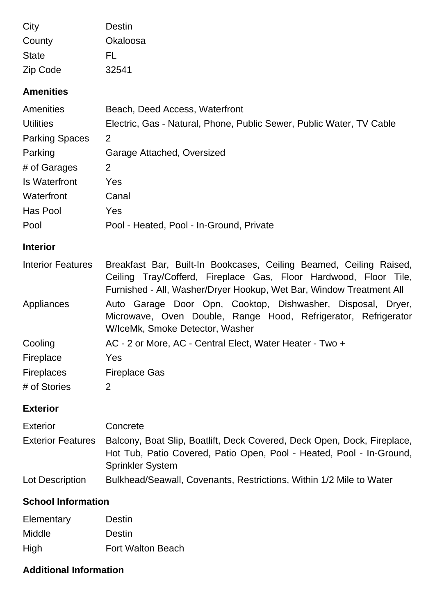| City         | Destin   |
|--------------|----------|
| County       | Okaloosa |
| <b>State</b> | FL       |
| Zip Code     | 32541    |

#### **Amenities**

| <b>Amenities</b>         | Beach, Deed Access, Waterfront                                                                                                                                                                                |  |
|--------------------------|---------------------------------------------------------------------------------------------------------------------------------------------------------------------------------------------------------------|--|
| <b>Utilities</b>         | Electric, Gas - Natural, Phone, Public Sewer, Public Water, TV Cable                                                                                                                                          |  |
| <b>Parking Spaces</b>    | 2                                                                                                                                                                                                             |  |
| Parking                  | Garage Attached, Oversized                                                                                                                                                                                    |  |
| # of Garages             | 2                                                                                                                                                                                                             |  |
| <b>Is Waterfront</b>     | Yes                                                                                                                                                                                                           |  |
| Waterfront               | Canal                                                                                                                                                                                                         |  |
| <b>Has Pool</b>          | Yes                                                                                                                                                                                                           |  |
| Pool                     | Pool - Heated, Pool - In-Ground, Private                                                                                                                                                                      |  |
| <b>Interior</b>          |                                                                                                                                                                                                               |  |
| <b>Interior Features</b> | Breakfast Bar, Built-In Bookcases, Ceiling Beamed, Ceiling Raised,<br>Ceiling Tray/Cofferd, Fireplace Gas, Floor Hardwood, Floor Tile,<br>Furnished - All, Washer/Dryer Hookup, Wet Bar, Window Treatment All |  |
| <b>Appliances</b>        | Auto Garage Door Opn, Cooktop, Dishwasher, Disposal, Dryer,<br>Microwave, Oven Double, Range Hood, Refrigerator, Refrigerator<br>W/IceMk, Smoke Detector, Washer                                              |  |
| Cooling                  | AC - 2 or More, AC - Central Elect, Water Heater - Two +                                                                                                                                                      |  |
| Fireplace                | Yes                                                                                                                                                                                                           |  |
| <b>Fireplaces</b>        | <b>Fireplace Gas</b>                                                                                                                                                                                          |  |
| # of Stories             | 2                                                                                                                                                                                                             |  |
| <b>Exterior</b>          |                                                                                                                                                                                                               |  |
| <b>Exterior</b>          | Concrete                                                                                                                                                                                                      |  |
| <b>Exterior Features</b> | Balcony, Boat Slip, Boatlift, Deck Covered, Deck Open, Dock, Fireplace,                                                                                                                                       |  |

Hot Tub, Patio Covered, Patio Open, Pool - Heated, Pool - In-Ground, Sprinkler System

Lot Description Bulkhead/Seawall, Covenants, Restrictions, Within 1/2 Mile to Water

# **School Information**

| Elementary | Destin                   |
|------------|--------------------------|
| Middle     | Destin                   |
| High       | <b>Fort Walton Beach</b> |

# **Additional Information**